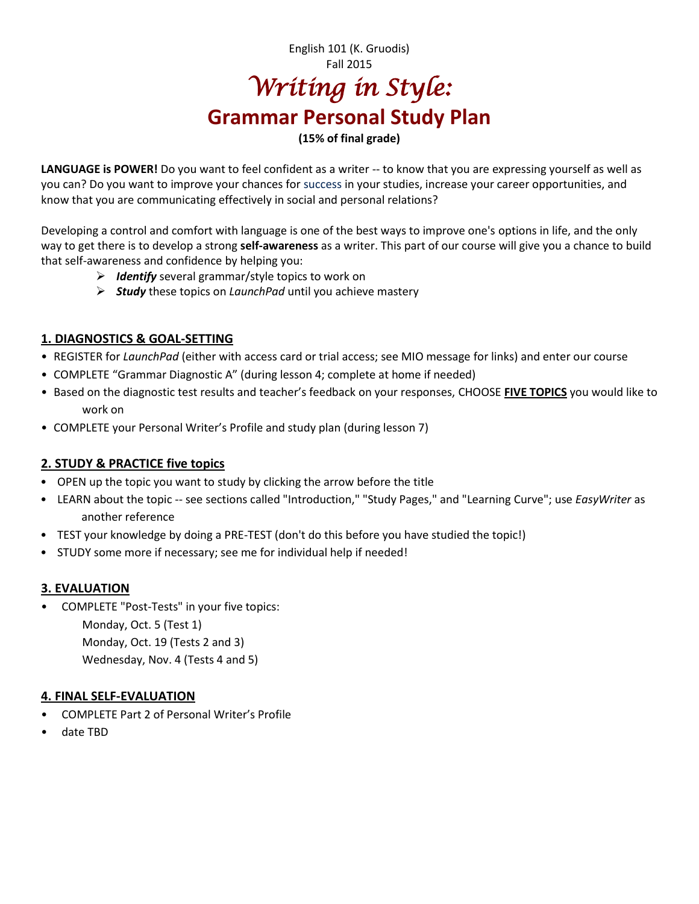# English 101 (K. Gruodis) Fall 2015 *Writing in Style:*  **Grammar Personal Study Plan**

### **(15% of final grade)**

**LANGUAGE is POWER!** Do you want to feel confident as a writer -- to know that you are expressing yourself as well as you can? Do you want to improve your chances for success in your studies, increase your career opportunities, and know that you are communicating effectively in social and personal relations?

Developing a control and comfort with language is one of the best ways to improve one's options in life, and the only way to get there is to develop a strong **self-awareness** as a writer. This part of our course will give you a chance to build that self-awareness and confidence by helping you:

- *Identify* several grammar/style topics to work on
- *Study* these topics on *LaunchPad* until you achieve mastery

# **1. DIAGNOSTICS & GOAL-SETTING**

- REGISTER for *LaunchPad* (either with access card or trial access; see MIO message for links) and enter our course
- COMPLETE "Grammar Diagnostic A" (during lesson 4; complete at home if needed)
- Based on the diagnostic test results and teacher's feedback on your responses, CHOOSE **FIVE TOPICS** you would like to work on
- COMPLETE your Personal Writer's Profile and study plan (during lesson 7)

## **2. STUDY & PRACTICE five topics**

- OPEN up the topic you want to study by clicking the arrow before the title
- LEARN about the topic -- see sections called "Introduction," "Study Pages," and "Learning Curve"; use *EasyWriter* as another reference
- TEST your knowledge by doing a PRE-TEST (don't do this before you have studied the topic!)
- STUDY some more if necessary; see me for individual help if needed!

## **3. EVALUATION**

• COMPLETE "Post-Tests" in your five topics: Monday, Oct. 5 (Test 1) Monday, Oct. 19 (Tests 2 and 3) Wednesday, Nov. 4 (Tests 4 and 5)

#### **4. FINAL SELF-EVALUATION**

- COMPLETE Part 2 of Personal Writer's Profile
- date TBD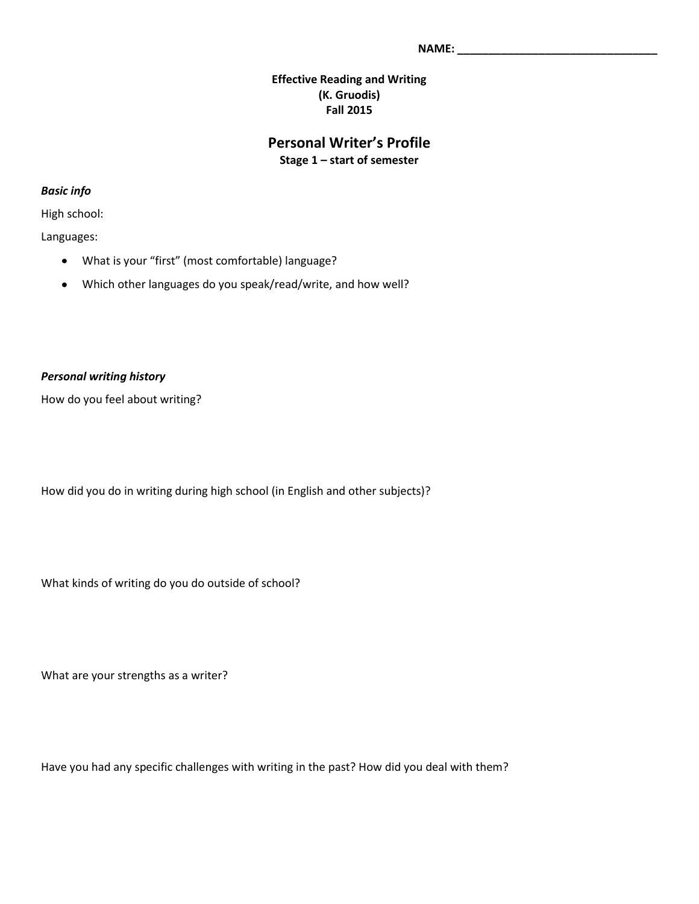#### **Effective Reading and Writing (K. Gruodis) Fall 2015**

# **Personal Writer's Profile Stage 1 – start of semester**

*Basic info*

High school:

Languages:

- What is your "first" (most comfortable) language?
- Which other languages do you speak/read/write, and how well?  $\bullet$

#### *Personal writing history*

How do you feel about writing?

How did you do in writing during high school (in English and other subjects)?

What kinds of writing do you do outside of school?

What are your strengths as a writer?

Have you had any specific challenges with writing in the past? How did you deal with them?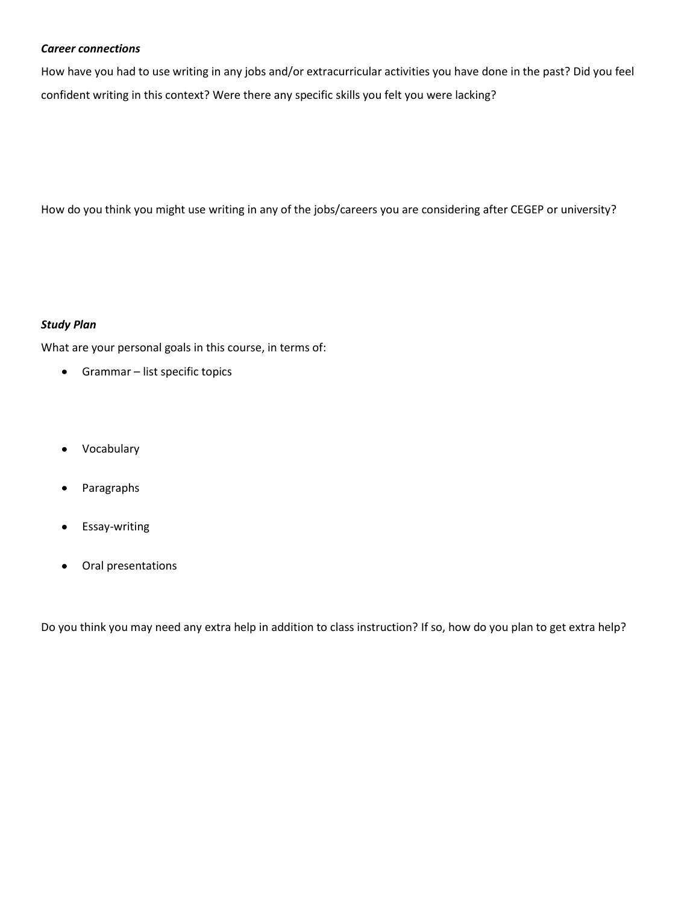#### *Career connections*

How have you had to use writing in any jobs and/or extracurricular activities you have done in the past? Did you feel confident writing in this context? Were there any specific skills you felt you were lacking?

How do you think you might use writing in any of the jobs/careers you are considering after CEGEP or university?

#### *Study Plan*

What are your personal goals in this course, in terms of:

- Grammar list specific topics
- Vocabulary
- Paragraphs
- Essay-writing
- Oral presentations  $\bullet$

Do you think you may need any extra help in addition to class instruction? If so, how do you plan to get extra help?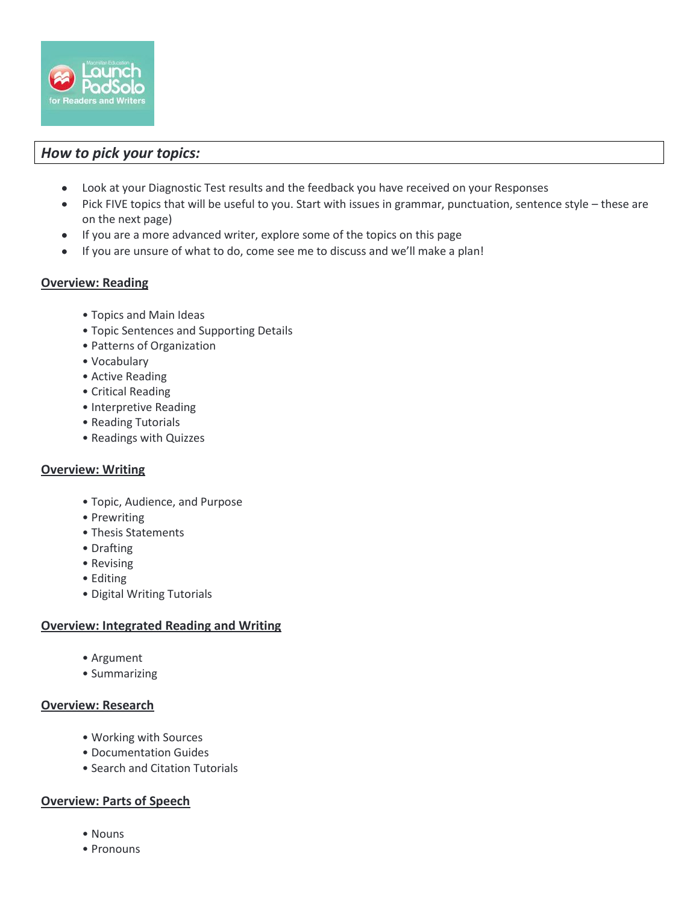

# *How to pick your topics:*

- Look at your Diagnostic Test results and the feedback you have received on your Responses  $\bullet$
- Pick FIVE topics that will be useful to you. Start with issues in grammar, punctuation, sentence style these are  $\bullet$ on the next page)
- If you are a more advanced writer, explore some of the topics on this page
- If you are unsure of what to do, come see me to discuss and we'll make a plan!

#### **Overview: Reading**

- Topics and Main Ideas
- Topic Sentences and Supporting Details
- Patterns of Organization
- Vocabulary
- Active Reading
- Critical Reading
- Interpretive Reading
- Reading Tutorials
- Readings with Quizzes

#### **Overview: Writing**

- Topic, Audience, and Purpose
- Prewriting
- Thesis Statements
- Drafting
- Revising
- Editing
- Digital Writing Tutorials

#### **Overview: Integrated Reading and Writing**

- Argument
- Summarizing

#### **Overview: Research**

- Working with Sources
- Documentation Guides
- Search and Citation Tutorials

#### **Overview: Parts of Speech**

- Nouns
- Pronouns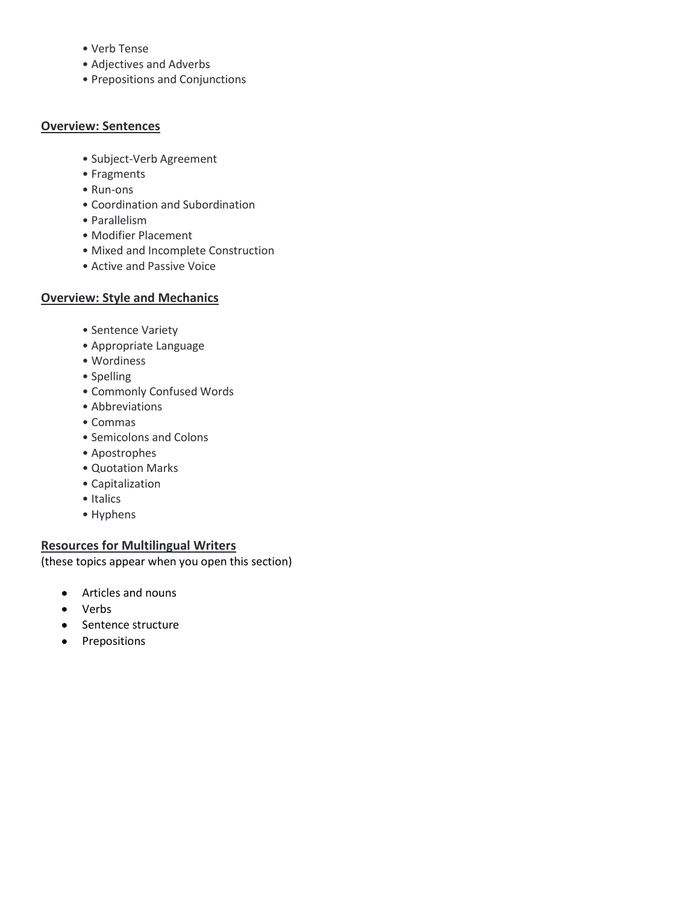- Verb Tense
- Adjectives and Adverbs
- Prepositions and Conjunctions

#### **Overview: Sentences**

- Subject-Verb Agreement
- Fragments
- Run-ons
- Coordination and Subordination
- Parallelism
- Modifier Placement
- Mixed and Incomplete Construction
- Active and Passive Voice

#### **Overview: Style and Mechanics**

- Sentence Variety
- Appropriate Language
- Wordiness
- Spelling
- Commonly Confused Words
- Abbreviations
- Commas
- Semicolons and Colons
- Apostrophes
- Quotation Marks
- Capitalization
- Italics
- Hyphens

#### **Resources for Multilingual Writers**

(these topics appear when you open this section)

- Articles and nouns  $\bullet$
- Verbs  $\bullet$
- Sentence structure
- Prepositions $\bullet$